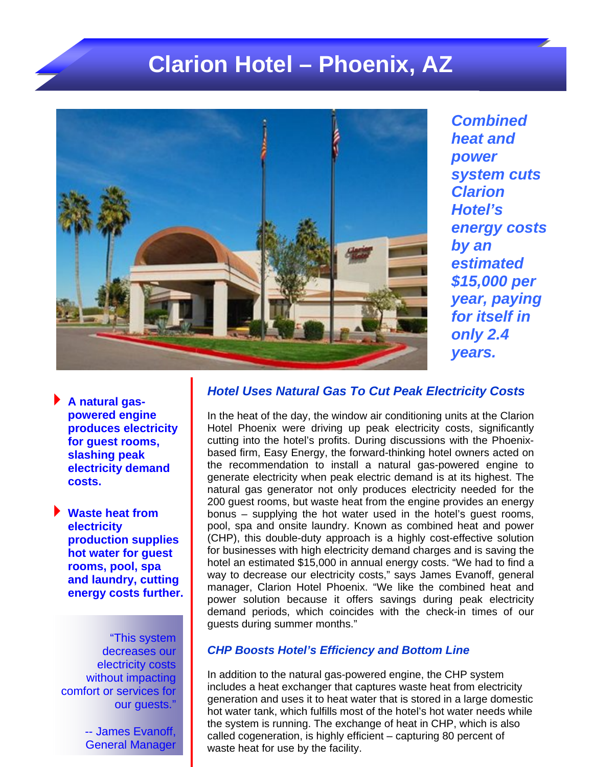## **Clarion Hotel – Phoenix, AZ**



*Combined heat and power system cuts Clarion Hotel's energy costs by an estimated \$15,000 per year, paying for itself in only 2.4 years.*

**A natural gaspowered engine produces electricity for guest rooms, slashing peak electricity demand costs.**

**Waste heat from electricity production supplies hot water for guest rooms, pool, spa and laundry, cutting energy costs further.** 

"This system decreases our electricity costs without impacting comfort or services for our guests."

> -- James Evanoff, General Manager

## *Hotel Uses Natural Gas To Cut Peak Electricity Costs*

 manager, Clarion Hotel Phoenix. "We like the combined heat and In the heat of the day, the window air conditioning units at the Clarion Hotel Phoenix were driving up peak electricity costs, significantly cutting into the hotel's profits. During discussions with the Phoenixbased firm, Easy Energy, the forward-thinking hotel owners acted on the recommendation to install a natural gas-powered engine to generate electricity when peak electric demand is at its highest. The natural gas generator not only produces electricity needed for the 200 guest rooms, but waste heat from the engine provides an energy bonus – supplying the hot water used in the hotel's guest rooms, pool, spa and onsite laundry. Known as combined heat and power (CHP), this double-duty approach is a highly cost-effective solution for businesses with high electricity demand charges and is saving the hotel an estimated \$15,000 in annual energy costs. "We had to find a way to decrease our electricity costs," says James Evanoff, general power solution because it offers savings during peak electricity demand periods, which coincides with the check-in times of our guests during summer months."

## *CHP Boosts Hotel's Efficiency and Bottom Line*

In addition to the natural gas-powered engine, the CHP system includes a heat exchanger that captures waste heat from electricity generation and uses it to heat water that is stored in a large domestic hot water tank, which fulfills most of the hotel's hot water needs while the system is running. The exchange of heat in CHP, which is also called cogeneration, is highly efficient – capturing 80 percent of waste heat for use by the facility.